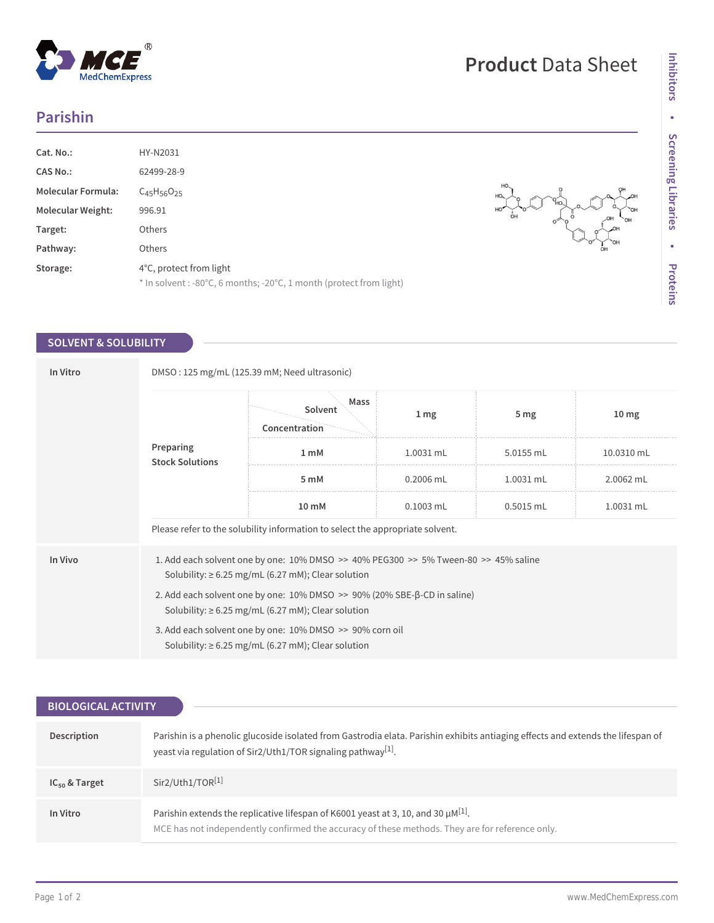## **Parishin**

 $^{\circledR}$ 

MedChemExpress

| Cat. No.:                 | HY-N2031                                                                                       |
|---------------------------|------------------------------------------------------------------------------------------------|
| <b>CAS No.:</b>           | 62499-28-9                                                                                     |
| <b>Molecular Formula:</b> | $C_{45}H_{56}O_{25}$                                                                           |
| <b>Molecular Weight:</b>  | 996.91                                                                                         |
| Target:                   | <b>Others</b>                                                                                  |
| Pathway:                  | <b>Others</b>                                                                                  |
| Storage:                  | 4°C, protect from light<br>* In solvent : -80°C, 6 months; -20°C, 1 month (protect from light) |

## **SOLVENT & SOLUBILITY**

| In Vitro | DMSO: 125 mg/mL (125.39 mM; Need ultrasonic)                                                                                                      |                                  |                 |                 |                  |  |  |
|----------|---------------------------------------------------------------------------------------------------------------------------------------------------|----------------------------------|-----------------|-----------------|------------------|--|--|
|          | Preparing<br><b>Stock Solutions</b>                                                                                                               | Mass<br>Solvent<br>Concentration | 1 <sub>mg</sub> | 5 <sub>mg</sub> | 10 <sub>mg</sub> |  |  |
|          |                                                                                                                                                   | 1 <sub>m</sub> M                 | 1.0031 mL       | 5.0155 mL       | 10.0310 mL       |  |  |
|          |                                                                                                                                                   | 5 mM                             | 0.2006 mL       | $1.0031$ mL     | 2.0062 mL        |  |  |
|          |                                                                                                                                                   | 10 mM                            | $0.1003$ mL     | $0.5015$ mL     | 1.0031 mL        |  |  |
|          | Please refer to the solubility information to select the appropriate solvent.                                                                     |                                  |                 |                 |                  |  |  |
| In Vivo  | 1. Add each solvent one by one: 10% DMSO >> 40% PEG300 >> 5% Tween-80 >> 45% saline<br>Solubility: $\geq 6.25$ mg/mL (6.27 mM); Clear solution    |                                  |                 |                 |                  |  |  |
|          | 2. Add each solvent one by one: $10\%$ DMSO $\gg$ 90% (20% SBE- $\beta$ -CD in saline)<br>Solubility: $\geq 6.25$ mg/mL (6.27 mM); Clear solution |                                  |                 |                 |                  |  |  |
|          | 3. Add each solvent one by one: 10% DMSO >> 90% corn oil<br>Solubility: $\geq 6.25$ mg/mL (6.27 mM); Clear solution                               |                                  |                 |                 |                  |  |  |

| <b>BIOLOGICAL ACTIVITY</b> |                                                                                                                                                                                                             |  |  |  |
|----------------------------|-------------------------------------------------------------------------------------------------------------------------------------------------------------------------------------------------------------|--|--|--|
|                            |                                                                                                                                                                                                             |  |  |  |
| Description                | Parishin is a phenolic glucoside isolated from Gastrodia elata. Parishin exhibits antiaging effects and extends the lifespan of<br>yeast via regulation of Sir2/Uth1/TOR signaling pathway <sup>[1]</sup> . |  |  |  |
| $IC_{50}$ & Target         | Sir2/Uth1/TOR <sup>[1]</sup>                                                                                                                                                                                |  |  |  |
| In Vitro                   | Parishin extends the replicative lifespan of K6001 yeast at 3, 10, and 30 $\mu$ M <sup>[1]</sup> .<br>MCE has not independently confirmed the accuracy of these methods. They are for reference only.       |  |  |  |